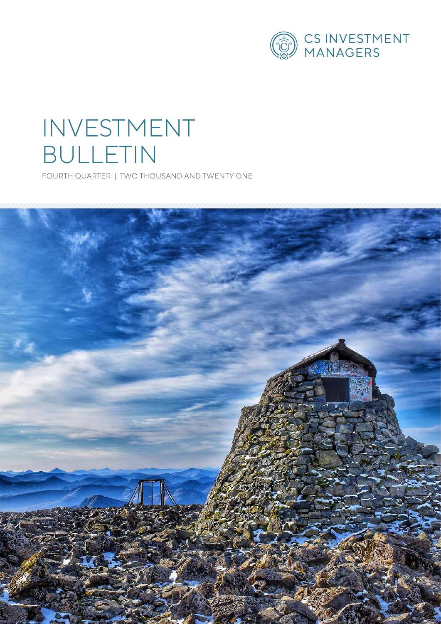

## INVESTMENT BULLETIN

FOURTH QUARTER | TWO THOUSAND AND TWENTY ONE